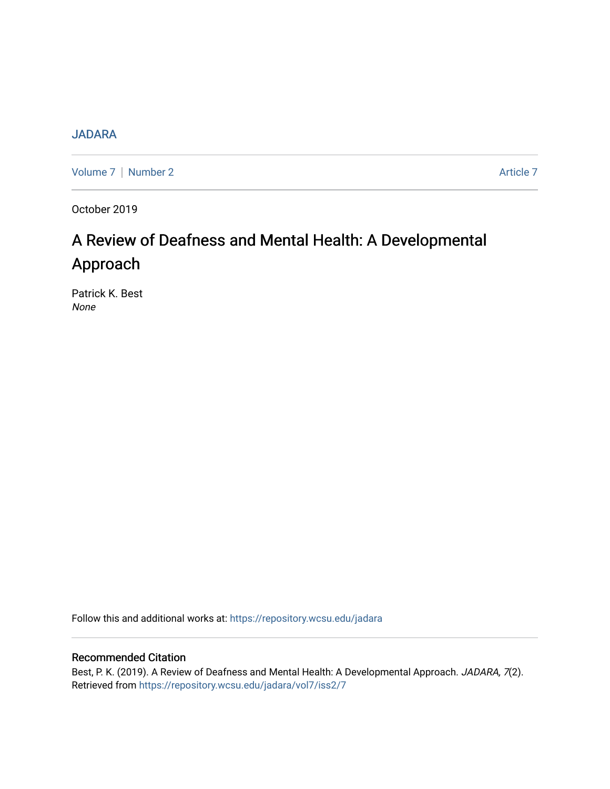# [JADARA](https://repository.wcsu.edu/jadara)

[Volume 7](https://repository.wcsu.edu/jadara/vol7) | [Number 2](https://repository.wcsu.edu/jadara/vol7/iss2) Article 7

October 2019

# A Review of Deafness and Mental Health: A Developmental Approach

Patrick K. Best None

Follow this and additional works at: [https://repository.wcsu.edu/jadara](https://repository.wcsu.edu/jadara?utm_source=repository.wcsu.edu%2Fjadara%2Fvol7%2Fiss2%2F7&utm_medium=PDF&utm_campaign=PDFCoverPages)

# Recommended Citation

Best, P. K. (2019). A Review of Deafness and Mental Health: A Developmental Approach. JADARA, 7(2). Retrieved from [https://repository.wcsu.edu/jadara/vol7/iss2/7](https://repository.wcsu.edu/jadara/vol7/iss2/7?utm_source=repository.wcsu.edu%2Fjadara%2Fvol7%2Fiss2%2F7&utm_medium=PDF&utm_campaign=PDFCoverPages)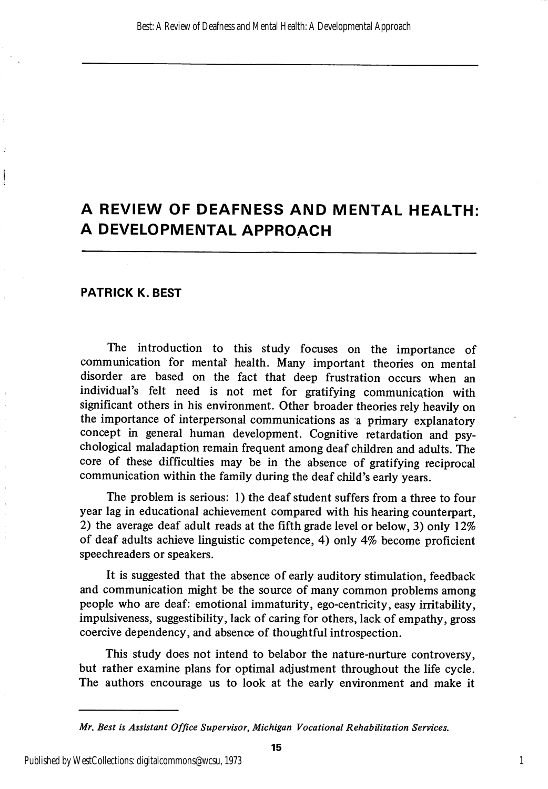# A REVIEW OF DEAFNESS AND MENTAL HEALTH: A DEVELOPMENTAL APPROACH

#### PATRICK K. BEST

Í

The introduction to this study focuses on the importance of communication for mental health. Many important theories on mental disorder are based on the fact that deep frustration occurs when an individual's felt need is not met for gratifying communication with significant others in his environment. Other broader theories rely heavily on the importance of interpersonal communications as a primary explanatory concept in general human development. Cognitive retardation and psy chological maladaption remain frequent among deaf children and adults. The core of these difficulties may be in the absence of gratifying reciprocal commimication within the family during the deaf child's early years.

The problem is serious: 1) the deaf student suffers from a three to four year lag in educational achievement compared with his hearing counterpart, 2) the average deaf adult reads at the fifth grade level or below, 3) only 12% of deaf adults achieve linguistic competence, 4) only 4% become proficient speechreaders or speakers.

It is suggested that the absence of early auditory stimulation, feedback and communication might be the source of many common problems among people who are deaf: emotional immaturity, ego-centricity, easy irritability, impulsiveness, suggestibility, lack of caring for others, lack of empathy, gross coercive dependency, and absence of thoughtful introspection.

This study does not intend to belabor the nature-nurture controversy, but rather examine plans for optimal adjustment throughout the life cycle. The authors encourage us to look at the early environment and make it

Mr, Best is Assistant Office Supervisor, Michigan Vocational Rehabilitation Services,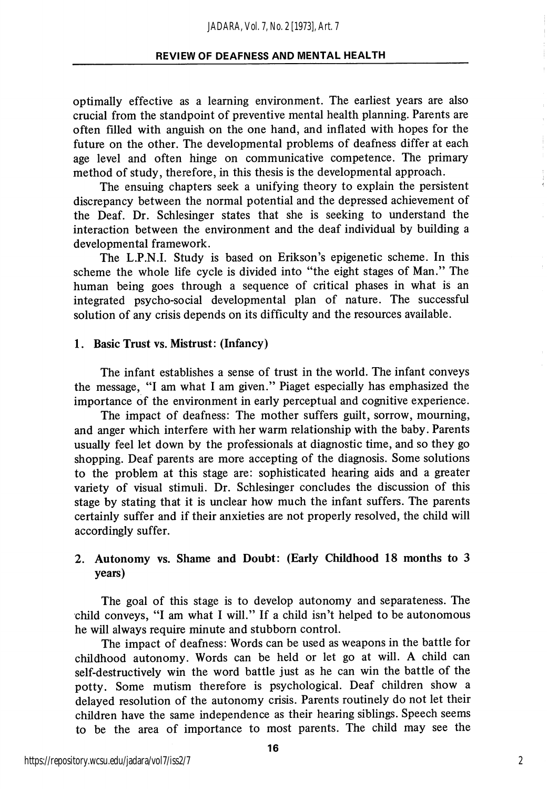optimally effective as a learning environment. The earliest years are also crucial from the standpoint of preventive mental health planning. Parents are often filled with anguish on the one hand, and inflated with hopes for the future on the other. The developmental problems of deafness differ at each age level and often hinge on communicative competence. The primary method of study, therefore, in this thesis is the developmental approach.

The ensuing chapters seek a unifying theory to explain the persistent discrepancy between the normal potential and the depressed achievement of the Deaf. Dr. Schlesinger states that she is seeking to understand the interaction between the environment and the deaf individual by building a developmental framework.

The L.P.N.I. Study is based on Erikson's epigenetic scheme. In this scheme the whole life cycle is divided into "the eight stages of Man." The human being goes through a sequence of critical phases in what is an integrated psycho-social developmental plan of nature. The successful solution of any crisis depends on its difficulty and the resources available.

## 1. Basic Trust vs. Mistrust: (Infancy)

The infant establishes a sense of trust in the world. The infant conveys the message, "I am what I am given." Piaget especially has emphasized the importance of the environment in early perceptual and cognitive experience.

The impact of deafness: The mother suffers guilt, sorrow, mourning, and anger which interfere with her warm relationship with the baby. Parents usually feel let down by the professionals at diagnostic time, and so they go shopping. Deaf parents are more accepting of the diagnosis. Some solutions to the problem at this stage are: sophisticated hearing aids and a greater variety of visual stimuli. Dr. Schlesinger concludes the discussion of this stage by stating that it is unclear how much the infant suffers. The parents certainly suffer and if their anxieties are not properly resolved, the child will accordingly suffer.

# 2. Autonomy vs. Shame and Doubt: (Early Childhood 18 months to 3 years)

The goal of this stage is to develop autonomy and separateness. The child conveys, "I am what I will." If a child isn't helped to be autonomous he will always require minute and stubborn control.

The impact of deafness: Words can be used as weapons in the battle for childhood autonomy. Words can be held or let go at will. A child can self-destructively win the word battle just as he can win the battle of the potty. Some mutism therefore is psychological. Deaf children show a delayed resolution of the autonomy crisis. Parents routinely do not let their children have the same independence as their hearing siblings. Speech seems to be the area of importance to most parents. The child may see the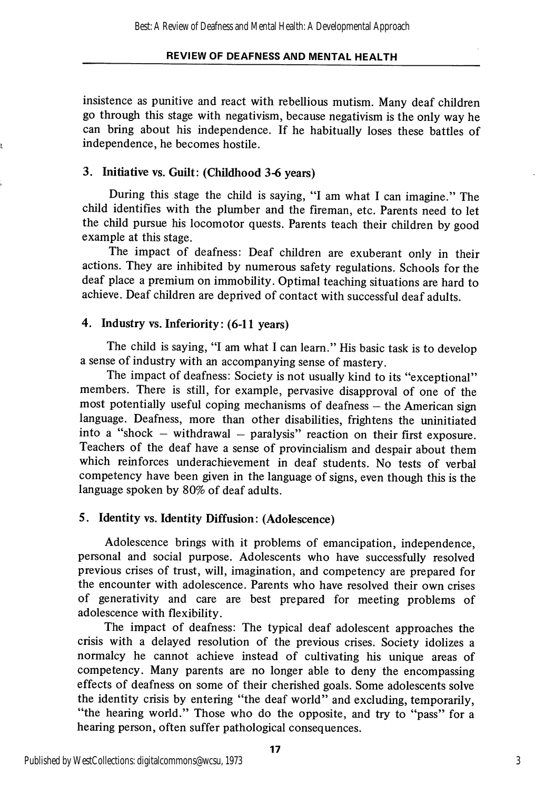insistence as punitive and react with rebellious mutism. Many deaf children go through this stage with negativism, because negativism is the only way he can bring about his independence. If he habitually loses these battles of independence, he becomes hostile.

# 3. Initiative vs. Guilt: (Childhood 3-6 years)

During this stage the child is saying, "I am what I can imagine." The child identifies with the plumber and the fireman, etc. Parents need to let the child pursue his locomotor quests. Parents teach their children by good example at this stage.

The impact of deafness: Deaf children are exuberant only in their actions. They are inhibited by numerous safety regulations. Schools for the deaf place a premium on immobility. Optimal teaching situations are hard to achieve. Deaf children are deprived of contact with successful deaf adults.

# 4. Industry vs. Inferiority: (6-11 years)

The child is saying, "I am what I can learn." His basic task is to develop a sense of industry with an accompanying sense of mastery.

The impact of deafness: Society is not usually kind to its "exceptional" members. There is still, for example, pervasive disapproval of one of the most potentially useful coping mechanisms of deafness — the American sign language. Deafness, more than other disabilities, frightens the uninitiated into a "shock  $-$  withdrawal  $-$  paralysis" reaction on their first exposure. Teachers of the deaf have a sense of provincialism and despair about them which reinforces underachievement in deaf students. No tests of verbal competency have been given in the language of signs, even though this is the language spoken by 80% of deaf adults.

# 5. Identity vs. Identity Diffusion: (Adolescence)

Adolescence brings with it problems of emancipation, independence, personal and social purpose. Adolescents who have successfully resolved previous crises of trust, will, imagination, and competency are prepared for the encounter with adolescence. Parents who have resolved their own crises of generativity and care are best prepared for meeting problems of adolescence with flexibility.

The impact of deafness: The typical deaf adolescent approaches the crisis with a delayed resolution of the previous crises. Society idolizes a normalcy he cannot achieve instead of cultivating his unique areas of competency. Many parents are no longer able to deny the encompassing effects of deafness on some of their cherished goals. Some adolescents solve the identity crisis by entering "the deaf world" and excluding, temporarily, "the hearing world." Those who do the opposite, and try to "pass" for a hearing person, often suffer pathological consequences.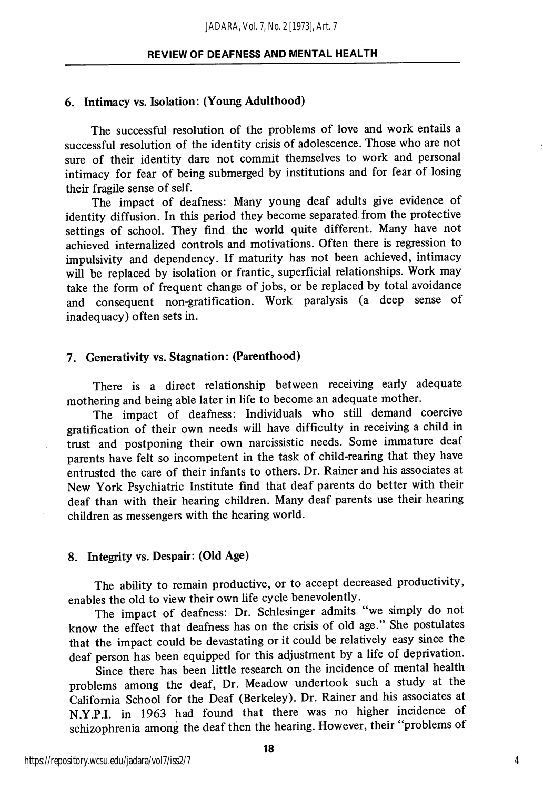#### 6. Intimacy vs. Isolation: (Young Adulthood)

The successful resolution of the problems of love and work entails a successful resolution of the identity crisis of adolescence. Those who are not sure of their identity dare not commit themselves to work and personal intimacy for fear of being submerged by institutions and for fear of losing their fragile sense of self.

The impact of deafness: Many young deaf adults give evidence of identity diffusion. In this period they become separated from the protective settings of school. They find the world quite different. Many have not achieved internalized controls and motivations. Often there is regression to impulsivity and dependency. If maturity has not been achieved, intimacy will be replaced by isolation or frantic, superficial relationships. Work may take the form of frequent change of jobs, or be replaced by total avoidance and consequent non-gratification. Work paralysis (a deep sense of inadequacy) often sets in.

# 7. Generativity vs. Stagnation: (Parenthood)

There is a direct relationship between receiving early adequate mothering and being able later in life to become an adequate mother.

The impact of deafness: Individuals who still demand coercive gratification of their own needs will have difficulty in receiving a child in trust and postponing their own narcissistic needs. Some immature deaf parents have felt so incompetent in the task of child-rearing that they have entrusted the care of their infants to others. Dr. Rainer and his associates at New York Psychiatric Institute find that deaf parents do better with their deaf than with their hearing children. Many deaf parents use their hearing children as messengers with the hearing world.

#### 8. Integrity vs. Despair: (Old Age)

The ability to remain productive, or to accept decreased productivity, enables the old to view their own life cycle benevolently.

The impact of deafness: Dr. Schlesinger admits "we simply do not know the effect that deafness has on the crisis of old age." She postulates that the impact could be devastating or it could be relatively easy since the deaf person has been equipped for this adjustment by a life of deprivation.

Since there has been little research on the incidence of mental health problems among the deaf. Dr. Meadow undertook such a study at the California School for the Deaf (Berkeley). Dr. Rainer and his associates at N.Y.P.I. in 1963 had found that there was no higher incidence of schizophrenia among the deaf then the hearing. However, their "problems of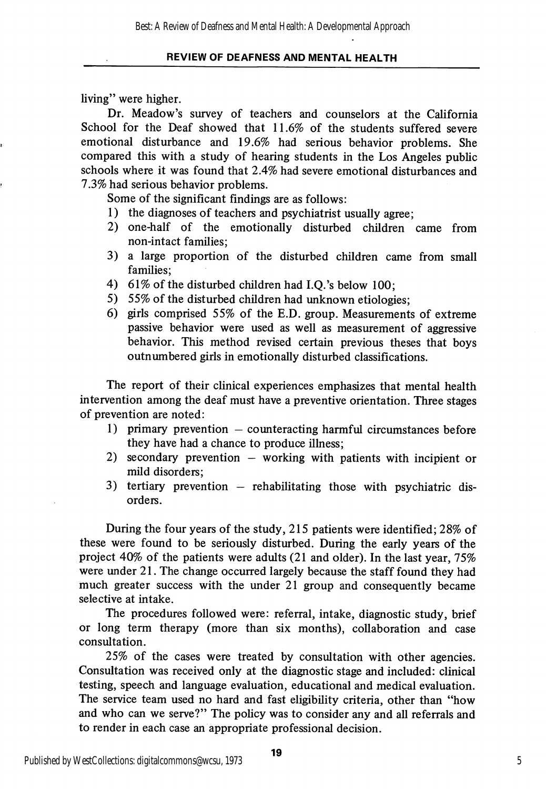living" were higher.

Dr. Meadow's survey of teachers and counselors at the California School for the Deaf showed that 11.6% of the students suffered severe emotional disturbance and 19.6% had serious behavior problems. She compared this with a study of hearing students in the Los Angeles public schools where it was found that 2.4% had severe emotional disturbances and 7.3% had serious behavior problems.

Some of the significant findings are as follows:

- 1) the diagnoses of teachers and psychiatrist usually agree;
- 2) one-half of the emotionally disturbed children came from non-intact families;
- 3) a large proportion of the disturbed children came from small families;
- 4) 61% of the disturbed children had I.Q.'s below 100;
- 5) 55% of the disturbed children had unknown etiologies;
- 6) girls comprised 55% of the E.D. group. Measurements of extreme passive behavior were used as well as measurement of aggressive behavior. This method revised certain previous theses that boys outnumbered girls in emotionally disturbed classifications.

The report of their clinical experiences emphasizes that mental health intervention among the deaf must have a preventive orientation. Three stages of prevention are noted:

- 1) primary prevention counteracting harmful circumstances before they have had a chance to produce illness;
- 2) secondary prevention working with patients with incipient or mild disorders;
- 3) tertiary prevention rehabilitating those with psychiatric dis orders.

During the four years of the study, 215 patients were identified; 28% of these were found to be seriously disturbed. During the early years of the project 40% of the patients were adults (21 and older). In the last year, 75% were under 21. The change occurred largely because the staff found they had much greater success with the under 21 group and consequently became selective at intake.

The procedures followed were: referral, intake, diagnostic study, brief or long term therapy (more than six months), collaboration and case consultation.

25% of the cases were treated by consultation with other agencies. Consultation was received only at the diagnostic stage and included: clinical testing, speech and language evaluation, educational and medical evaluation. The service team used no hard and fast eligibility criteria, other than "how and who can we serve?" The policy was to consider any and all referrals and to render in each case an appropriate professional decision.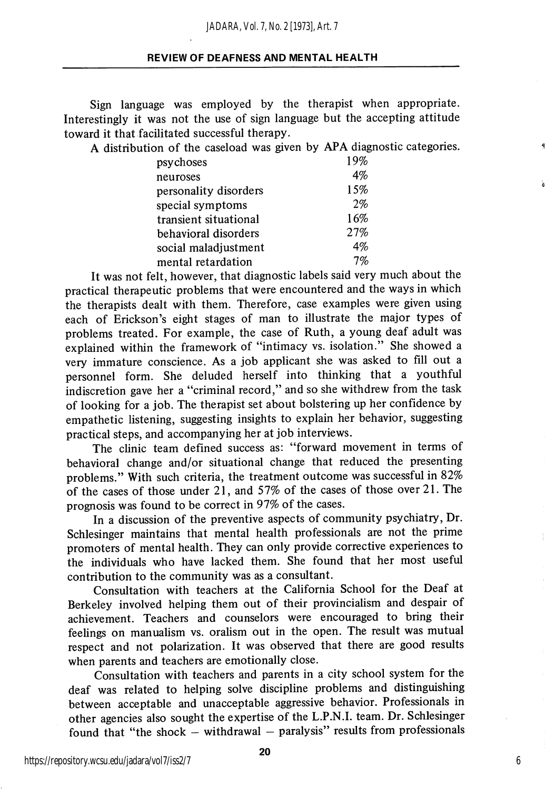Sign language was employed by the therapist when appropriate. Interestingly it was not the use of sign language but the accepting attitude toward it that facilitated successful therapy.

A distribution of the caseload was given by APA diagnostic categories,

| psychoses             | 19% |
|-----------------------|-----|
| neuroses              | 4%  |
| personality disorders | 15% |
| special symptoms      | 2%  |
| transient situational | 16% |
| behavioral disorders  | 27% |
| social maladjustment  | 4%  |
| mental retardation    | 7%  |

It was not felt, however, that diagnostic labels said very much about the practical therapeutic problems that were encountered and the ways in which the therapists dealt with them. Therefore, case examples were given using each of Erickson's eight stages of man to illustrate the major types of problems treated. For example, the case of Ruth, a young deaf adult was explained within the framework of "intimacy vs. isolation." She showed a very immature conscience. As a job applicant she was asked to fill out a personnel form. She deluded herself into thinking that a youthful indiscretion gave her a "criminal record," and so she withdrew from the task of looking for a job. The therapist set about bolstering up her confidence by empathetic listening, suggesting insights to explain her behavior, suggesting practical steps, and accompanying her at job interviews.

The clinic team defined success as: "forward movement in terms of behavioral change and/or situational change that reduced the presenting problems." With such criteria, the treatment outcome was successful in 82% of the cases of those under 21, and 57% of the cases of those over 21. The prognosis was found to be correct in 97% of the cases.

In a discussion of the preventive aspects of community psychiatry. Dr. Schlesinger maintains that mental health professionals are not the prime promoters of mental health. They can only provide corrective experiences to the individuals who have lacked them. She found that her most useful contribution to the community was as a consultant.

Consultation with teachers at the California School for the Deaf at Berkeley involved helping them out of their provincialism and despair of achievement. Teachers and counselors were encouraged to bring their feelings on manualism vs. oralism out in the open. The result was mutual respect and not polarization. It was observed that there are good results when parents and teachers are emotionally close.

Consultation with teachers and parents in a city school system for the deaf was related to helping solve discipline problems and distinguishing between acceptable and unacceptable aggressive behavior. Professionals in other agencies also sought the expertise of the L.P.N.I. team. Dr. Schlesinger found that "the shock  $-$  withdrawal  $-$  paralysis" results from professionals

6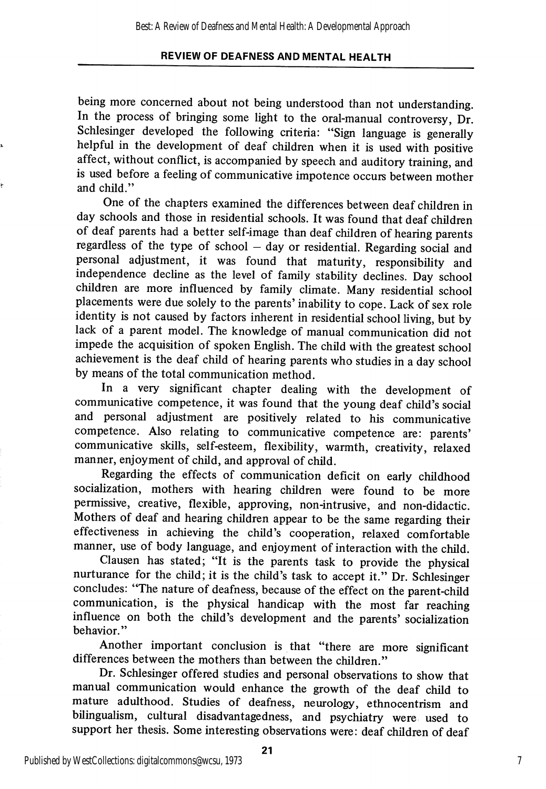being more concerned about not being understood than not understanding. In the process of bringing some light to the oral-manual controversy, Dr. Schlesinger developed the following criteria: "Sign language is generally helpful in the development of deaf children when it is used with positive affect, without conflict, is accompanied by speech and auditory training, and is used before a feeling of communicative impotence occurs between mother and child."

One of the chapters examined the differences between deaf children in day schools and those in residential schools. It was found that deaf children of deaf parents had a better self-image than deaf children of hearing parents regardless of the type of school — day or residential. Regarding social and personal adjustment, it was found that maturity, responsibility and independence decline as the level of family stability declines. Day school children are more influenced by family climate. Many residential school placements were due solely to the parents' inability to cope. Lack of sex role identity is not caused by factors inherent in residential school living, but by lack of a parent model. The knowledge of manual communication did not impede the acquisition of spoken English. The child with the greatest school achievement is the deaf child of hearing parents who studies in a day school by means of the total communication method.

In a very significant chapter dealing with the development of communicative competence, it was found that the young deaf child's social and personal adjustment are positively related to his communicative competence. Also relating to communicative competence are: parents' communicative skills, self-esteem, flexibility, warmth, creativity, relaxed manner, enjoyment of child, and approval of child.

Regarding the effects of communication deficit on early childhood socialization, mothers with hearing children were found to be more permissive, creative, flexible, approving, non-intrusive, and non-didactic. Mothers of deaf and hearing children appear to be the same regarding their effectiveness in achieving the child's cooperation, relaxed comfortable manner, use of body language, and enjoyment of interaction with the child.

Clausen has stated; "It is the parents task to provide the physical nurturance for the child; it is the child's task to accept it." Dr. Schlesinger concludes: "The nature of deafness, because of the effect on the parent-child communication, is the physical handicap with the most far reaching influence on both the child's development and the parents' socialization behavior."

Another important conclusion is that "there are more significant differences between the mothers than between the children."

Dr. Schlesinger offered studies and personal observations to show that manual communication would enhance the growth of the deaf child to mature adulthood. Studies of deafness, neurology, ethnocentrism and bilingualism, cultural disadvantagedness, and psychiatry were used to support her thesis. Some interesting observations were: deaf children of deaf